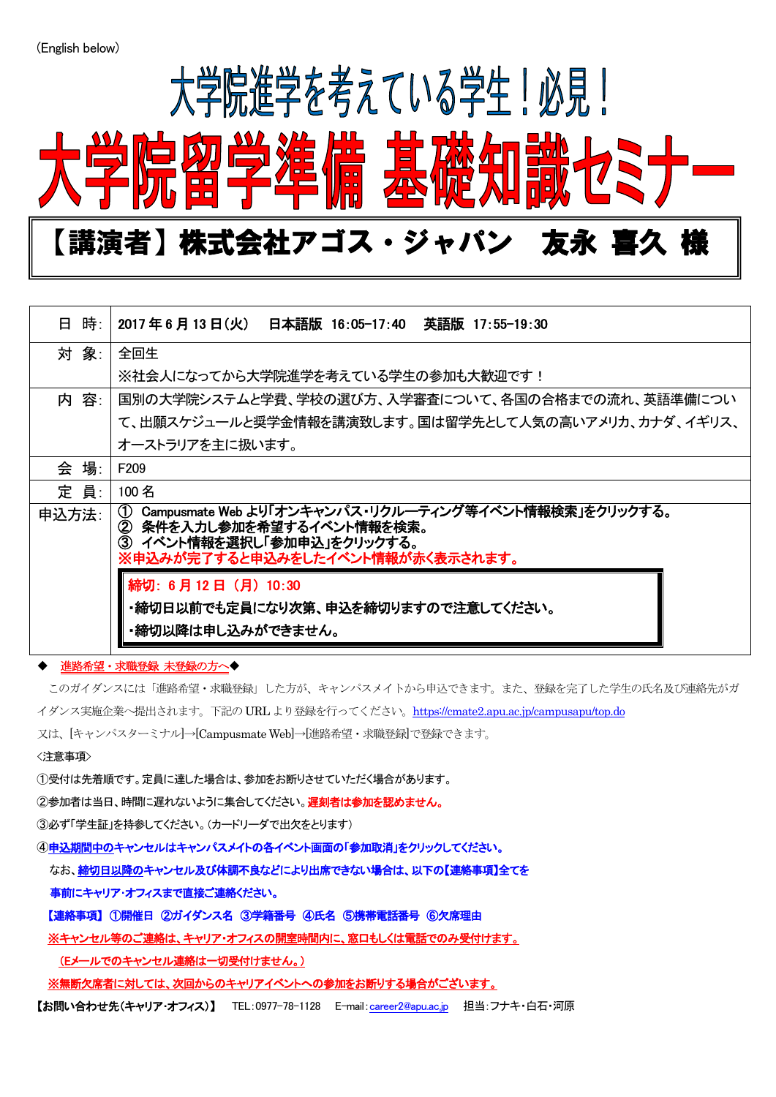$\overline{a}$ 



| 日 時:  | 2017 年 6 月 13 日(火)  日本語版 16:05-17:40  英語版 17:55-19:30                                                                                                                            |
|-------|----------------------------------------------------------------------------------------------------------------------------------------------------------------------------------|
| 対 象:  | 全回生                                                                                                                                                                              |
|       | ※社会人になってから大学院進学を考えている学生の参加も大歓迎です!                                                                                                                                                |
| 内 容:  | 国別の大学院システムと学費、学校の選び方、入学審査について、各国の合格までの流れ、英語準備につい                                                                                                                                 |
|       | て、出願スケジュールと奨学金情報を講演致します。国は留学先として人気の高いアメリカ、カナダ、イギリス、                                                                                                                              |
|       | オーストラリアを主に扱います。                                                                                                                                                                  |
| 会 場:  | F <sub>209</sub>                                                                                                                                                                 |
| 定 員:  | 100名                                                                                                                                                                             |
| 申込方法: | Campusmate Web より「オンキャンパス・リクルーティング等イベント情報検索」をクリックする。<br>$\circ$<br>- 条件を入力し参加を希望するイベント情報を検索。<br>$\circledcirc$<br>③ イベント情報を選択し「参加申込」をクリックする。<br>※申込みが完了すると申込みをしたイベント情報が赤く表示されます。 |
|       | 締切: 6月12日 (月) 10:30<br>・締切日以前でも定員になり次第、申込を締切りますので注意してください。<br>・締切以降は申し込みができません。                                                                                                  |

## 進路希望・求職登録 未登録の方へ◆

このガイダンスには「進路希望・求職登録」した方が、キャンパスメイトから申込できます。また、登録を完了した学生の氏名及び連絡先がガ イダンス実施企業へ提出されます。下記の URL より登録を行ってください。<https://cmate2.apu.ac.jp/campusapu/top.do> 又は、[キャンパスターミナル]→[Campusmate Web]→[進路希望・求職登録]で登録できます。 <注意事項>

①受付は先着順です。定員に達した場合は、参加をお断りさせていただく場合があります。

②参加者は当日、時間に遅れないように集合してください。遅刻者は参加を認めません。

③必ず「学生証」を持参してください。(カードリーダで出欠をとります)

④申込期間中のキャンセルはキャンパスメイトの各イベント画面の「参加取消」をクリックしてください。

なお、締切日以降のキャンセル及び体調不良などにより出席できない場合は、以下の【連絡事項】全てを

事前にキャリア・オフィスまで直接ご連絡ください。

【連絡事項】 ①開催日 ②ガイダンス名 ③学籍番号 ④氏名 ⑤携帯電話番号 ⑥欠席理由

※キャンセル等のご連絡は、キャリア・オフィスの開室時間内に、窓口もしくは電話でのみ受付けます。

(Eメールでのキャンセル連絡は一切受付けません。)

※無断欠席者に対しては、次回からのキャリアイベントへの参加をお断りする場合がございます。

【お問い合わせ先(キャリア・オフィス)】 TEL:0977-78-1128 E-mail:[career2@apu.ac.jp](mailto:career2@apu.ac.jp) 担当:フナキ・白石・河原